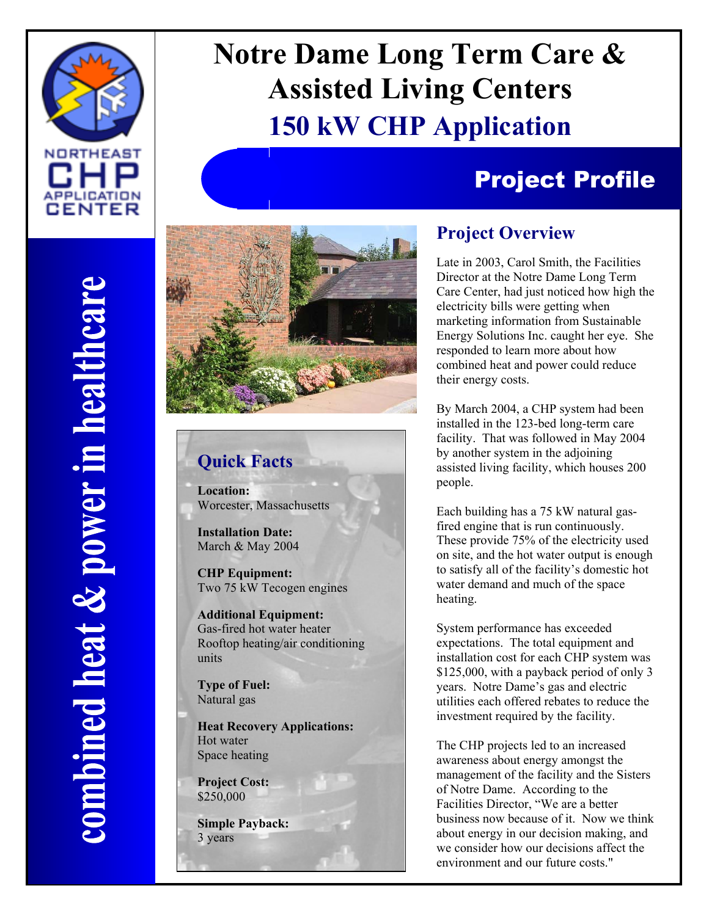

# **Notre Dame Long Term Care & Assisted Living Centers 150 kW CHP Application**

## Project Profile



### **Quick Facts**

**Location:**  Worcester, Massachusetts

**Installation Date:**  March & May 2004

**CHP Equipment:**  Two 75 kW Tecogen engines

**Additional Equipment:**  Gas-fired hot water heater Rooftop heating/air conditioning units

**Type of Fuel:**  Natural gas

**Heat Recovery Applications:**  Hot water Space heating

**Project Cost:**  \$250,000

**Simple Payback:**  3 years

#### **Project Overview**

Late in 2003, Carol Smith, the Facilities Director at the Notre Dame Long Term Care Center, had just noticed how high the electricity bills were getting when marketing information from Sustainable Energy Solutions Inc. caught her eye. She responded to learn more about how combined heat and power could reduce their energy costs.

By March 2004, a CHP system had been installed in the 123-bed long-term care facility. That was followed in May 2004 by another system in the adjoining assisted living facility, which houses 200 people.

Each building has a 75 kW natural gasfired engine that is run continuously. These provide 75% of the electricity used on site, and the hot water output is enough to satisfy all of the facility's domestic hot water demand and much of the space heating.

System performance has exceeded expectations. The total equipment and installation cost for each CHP system was \$125,000, with a payback period of only 3 years. Notre Dame's gas and electric utilities each offered rebates to reduce the investment required by the facility.

The CHP projects led to an increased awareness about energy amongst the management of the facility and the Sisters of Notre Dame. According to the Facilities Director, "We are a better business now because of it. Now we think about energy in our decision making, and we consider how our decisions affect the environment and our future costs."